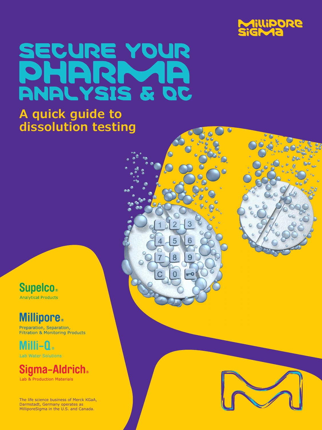

## SECURE YOUR PHARMA ANALYSIS & QC

5

8

9

### **A quick guide to dissolution testing**

**Supelco.** Analytical Products

**Millipore**®

Preparation, Separation,<br>Filtration & Monitoring Products

Milli-Q. **Lab Water Solutions** 

Siama-Aldrich. Lab & Production Materials

The life science business of Merck KGaA, Darmstadt, Germany operates as MilliporeSigma in the U.S. and Canada.

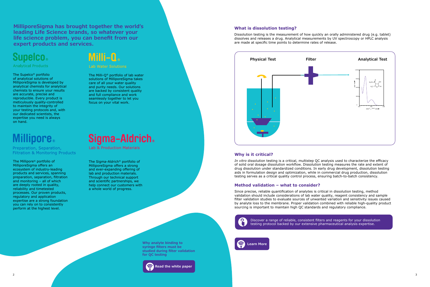**MilliporeSigma has brought together the world's leading Life Science brands, so whatever your life science problem, you can benefit from our expert products and services.**

### **Supelco.**

#### **Analytical Products**

The Sigma-Aldrich® portfolio of MilliporeSigma offers a strong and ever-expanding offering of lab and production materials. Through our technical support and scientific partnerships, we help connect our customers with a whole world of progress.

The Millipore® portfolio of MilliporeSigma offers an ecosystem of industry-leading products and services, spanning preparation, separation, filtration and monitoring – all of which are deeply rooted in quality, reliability and timetested processes. Our proven products, regulatory and application expertise are a strong foundation you can rely on to consistently perform at the highest level.

### Milli-0.

#### Lab Water Solutions

The Milli-Q® portfolio of lab water solutions of MilliporeSigma takes care of all your water quality and purity needs. Our solutions are backed by consistent quality and full compliance and work seamlessly together to let you focus on your vital work.

### Sigma-Aldrich.

**Lab & Production Materials** 

The Supelco® portfolio of analytical solutions of MilliporeSigma is developed by analytical chemists for analytical chemists to ensure your results are accurate, precise and reproducible. Every product is meticulously quality-controlled to maintain the integrity of your testing protocols and, with our dedicated scientists, the expertise you need is always on hand.

### **Ilipore**

Preparation, Separation, **Filtration & Monitoring Products** 

#### **What is dissolution testing?**

Dissolution testing is the measurement of how quickly an orally administered drug (e.g. tablet) dissolves and releases a drug. Analytical measurements by UV spectroscopy or HPLC analysis are made at specific time points to determine rates of release.



#### **Why is it critical?**

*In vitro* dissolution testing is a critical, multistep QC analysis used to characterize the efficacy of solid oral dosage dissolution workflow. Dissolution testing measures the rate and extent of drug dissolution under standardized conditions. In early drug development, dissolution testing aids in formulation design and optimization, while in commercial drug production, dissolution testing serves as a critical quality control process, ensuring batch-to-batch consistency.

#### **Method validation – what to consider?**

Since precise, reliable quantification of analytes is critical in dissolution testing, method validation should include considerations of lab water quality, reagent consistency and sample filter validation studies to evaluate sources of unwanted variation and sensitivity issues caused by analyte loss to the membrane. Proper validation combined with reliable high-quality product sourcing is important to maintain high QC standards and regulatory compliance.



**Why analyte binding to syringe filters must be studied during filter validation for QC testing**

[Discover a range of reliable, consistent filters and reagents for your dissolution](#page-2-0)  testing protocol backed by our extensive pharmaceutical analysis expertise.

### **[Learn More](https://www.sigmaaldrich.com/technical-documents/articles/biology/membranes-and-devices-for-dissolution-testing.html)**



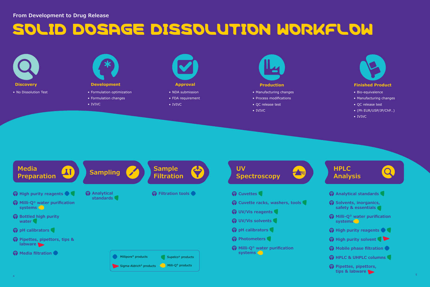# SOLID DOSAGE DISSOLUTION WORKFLOW



• IVIVC



- NDA submission
- FDA requirement
- IVIVC



- 
- Manufacturing changes
- Process modifications
- QC release test
- IVIVC



- Bio-equivalence
- Manufacturing changes
- QC release test
- (Ph EUR/USP/JP/ChP…)
- IVIVC

### <span id="page-2-0"></span>**From Development to Drug Release**

- 
- **[Solvents, inorganics,](https://www.sigmaaldrich.com/analytical-chromatography/analytical-reagents/smart-up-your-lab.html)  [safety & essentials](https://www.sigmaaldrich.com/analytical-chromatography/analytical-reagents/smart-up-your-lab.html)**
- **[Milli-Q®](https://www.sigmaaldrich.com/technical-documents/articles/biology/water-purification-systems/milli-q-iq7003-7005.html) water purification systems**
- **A** [High purity reagents](https://www.sigmaaldrich.com/analytical-chromatography/analytical-products.html?TablePage=117802193)
- **A** [High purity solvent](https://www.sigmaaldrich.com/chemistry/solvents.html)
- **Mobile phase filtration**
- **A** HPLC & UHPLC columns
- **[Pipettes, pipettors,](https://www.sigmaaldrich.com/labware.html)  [tips & labware](https://www.sigmaaldrich.com/labware.html)**